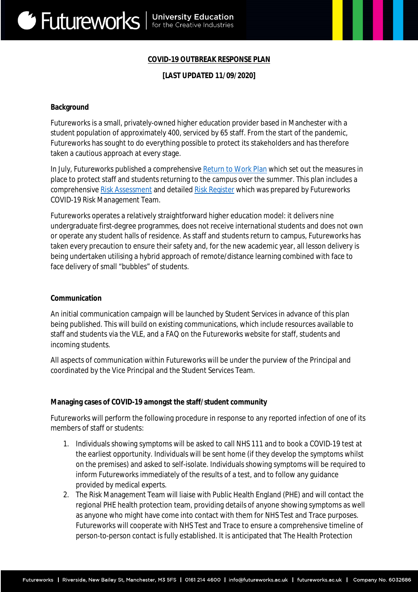## **COVID-19 OUTBREAK RESPONSE PLAN**

### **[LAST UPDATED 11/09/2020]**

#### **Background**

Futureworks is a small, privately-owned higher education provider based in Manchester with a student population of approximately 400, serviced by 65 staff. From the start of the pandemic, Futureworks has sought to do everything possible to protect its stakeholders and has therefore taken a cautious approach at every stage.

In July, Futureworks published a comprehensive Return to Work Plan which set out the measures in place to protect staff and students returning to the campus over the summer. This plan includes a comprehensive Risk Assessment and detailed Risk Register which was prepared by Futureworks COVID-19 Risk Management Team.

Futureworks operates a relatively straightforward higher education model: it delivers nine undergraduate first-degree programmes, does not receive international students and does not own or operate any student halls of residence. As staff and students return to campus, Futureworks has taken every precaution to ensure their safety and, for the new academic year, all lesson delivery is being undertaken utilising a hybrid approach of remote/distance learning combined with face to face delivery of small "bubbles" of students.

#### **Communication**

An initial communication campaign will be launched by Student Services in advance of this plan being published. This will build on existing communications, which include resources available to staff and students via the VLE, and a FAQ on the Futureworks website for staff, students and incoming students.

All aspects of communication within Futureworks will be under the purview of the Principal and coordinated by the Vice Principal and the Student Services Team.

#### **Managing cases of COVID-19 amongst the staff/student community**

Futureworks will perform the following procedure in response to any reported infection of one of its members of staff or students:

- 1. Individuals showing symptoms will be asked to call NHS 111 and to book a COVID-19 test at the earliest opportunity. Individuals will be sent home (if they develop the symptoms whilst on the premises) and asked to self-isolate. Individuals showing symptoms will be required to inform Futureworks immediately of the results of a test, and to follow any guidance provided by medical experts.
- 2. The Risk Management Team will liaise with Public Health England (PHE) and will contact the regional PHE health protection team, providing details of anyone showing symptoms as well as anyone who might have come into contact with them for NHS Test and Trace purposes. Futureworks will cooperate with NHS Test and Trace to ensure a comprehensive timeline of person-to-person contact is fully established. It is anticipated that The Health Protection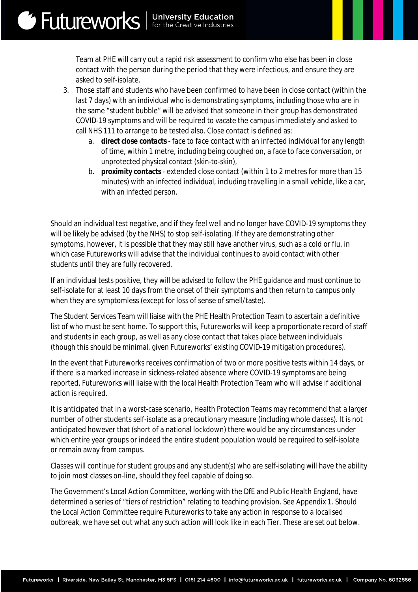Team at PHE will carry out a rapid risk assessment to confirm who else has been in close contact with the person during the period that they were infectious, and ensure they are asked to self-isolate.

- 3. Those staff and students who have been confirmed to have been in close contact (within the last 7 days) with an individual who is demonstrating symptoms, including those who are in the same "student bubble" will be advised that someone in their group has demonstrated COVID-19 symptoms and will be required to vacate the campus immediately and asked to call NHS 111 to arrange to be tested also. Close contact is defined as:
	- a. **direct close contacts** face to face contact with an infected individual for any length of time, within 1 metre, including being coughed on, a face to face conversation, or unprotected physical contact (skin-to-skin),
	- b. **proximity contacts** extended close contact (within 1 to 2 metres for more than 15 minutes) with an infected individual, including travelling in a small vehicle, like a car, with an infected person.

Should an individual test negative, and if they feel well and no longer have COVID-19 symptoms they will be likely be advised (by the NHS) to stop self-isolating. If they are demonstrating other symptoms, however, it is possible that they may still have another virus, such as a cold or flu, in which case Futureworks will advise that the individual continues to avoid contact with other students until they are fully recovered.

If an individual tests positive, they will be advised to follow the PHE guidance and must continue to self-isolate for at least 10 days from the onset of their symptoms and then return to campus only when they are symptomless (except for loss of sense of smell/taste).

The Student Services Team will liaise with the PHE Health Protection Team to ascertain a definitive list of who must be sent home. To support this, Futureworks will keep a proportionate record of staff and students in each group, as well as any close contact that takes place between individuals (though this should be minimal, given Futureworks' existing COVID-19 mitigation procedures).

In the event that Futureworks receives confirmation of two or more positive tests within 14 days, or if there is a marked increase in sickness-related absence where COVID-19 symptoms are being reported, Futureworks will liaise with the local Health Protection Team who will advise if additional action is required.

It is anticipated that in a worst-case scenario, Health Protection Teams may recommend that a larger number of other students self-isolate as a precautionary measure (including whole classes). It is not anticipated however that (short of a national lockdown) there would be any circumstances under which entire year groups or indeed the entire student population would be required to self-isolate or remain away from campus.

Classes will continue for student groups and any student(s) who are self-isolating will have the ability to join most classes on-line, should they feel capable of doing so.

The Government's Local Action Committee, working with the DfE and Public Health England, have determined a series of "tiers of restriction" relating to teaching provision. See Appendix 1. Should the Local Action Committee require Futureworks to take any action in response to a localised outbreak, we have set out what any such action will look like in each Tier. These are set out below.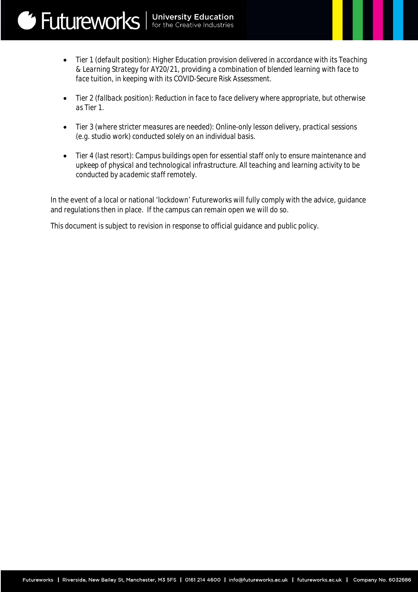Futureworks | University Education

**Figure** 

- *Tier 2 (fallback position): Reduction in face to face delivery where appropriate, but otherwise as Tier 1.*
- *Tier 3 (where stricter measures are needed): Online-only lesson delivery, practical sessions (e.g. studio work) conducted solely on an individual basis.*
- *Tier 4 (last resort): Campus buildings open for essential staff only to ensure maintenance and upkeep of physical and technological infrastructure. All teaching and learning activity to be conducted by academic staff remotely.*

In the event of a local or national 'lockdown' Futureworks will fully comply with the advice, guidance and regulations then in place. If the campus can remain open we will do so.

This document is subject to revision in response to official guidance and public policy.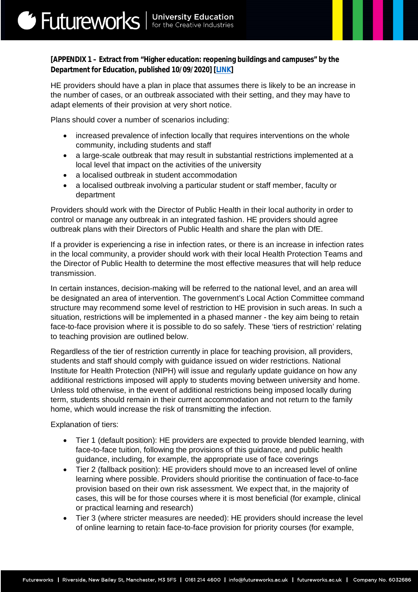# **[APPENDIX 1 – Extract from "Higher education: reopening buildings and campuses" by the Department for Education, published 10/09/2020] [LINK]**

HE providers should have a plan in place that assumes there is likely to be an increase in the number of cases, or an outbreak associated with their setting, and they may have to adapt elements of their provision at very short notice.

Plans should cover a number of scenarios including:

- increased prevalence of infection locally that requires interventions on the whole community, including students and staff
- a large-scale outbreak that may result in substantial restrictions implemented at a local level that impact on the activities of the university
- a localised outbreak in student accommodation
- a localised outbreak involving a particular student or staff member, faculty or department

Providers should work with the Director of Public Health in their local authority in order to control or manage any outbreak in an integrated fashion. HE providers should agree outbreak plans with their Directors of Public Health and share the plan with DfE.

If a provider is experiencing a rise in infection rates, or there is an increase in infection rates in the local community, a provider should work with their local Health Protection Teams and the Director of Public Health to determine the most effective measures that will help reduce transmission.

In certain instances, decision-making will be referred to the national level, and an area will be designated an area of intervention. The government's Local Action Committee command structure may recommend some level of restriction to HE provision in such areas. In such a situation, restrictions will be implemented in a phased manner - the key aim being to retain face-to-face provision where it is possible to do so safely. These 'tiers of restriction' relating to teaching provision are outlined below.

Regardless of the tier of restriction currently in place for teaching provision, all providers, students and staff should comply with guidance issued on wider restrictions. National Institute for Health Protection (NIPH) will issue and regularly update guidance on how any additional restrictions imposed will apply to students moving between university and home. Unless told otherwise, in the event of additional restrictions being imposed locally during term, students should remain in their current accommodation and not return to the family home, which would increase the risk of transmitting the infection.

Explanation of tiers:

- Tier 1 (default position): HE providers are expected to provide blended learning, with face-to-face tuition, following the provisions of this guidance, and public health guidance, including, for example, the appropriate use of face coverings
- Tier 2 (fallback position): HE providers should move to an increased level of online learning where possible. Providers should prioritise the continuation of face-to-face provision based on their own risk assessment. We expect that, in the majority of cases, this will be for those courses where it is most beneficial (for example, clinical or practical learning and research)
- Tier 3 (where stricter measures are needed): HE providers should increase the level of online learning to retain face-to-face provision for priority courses (for example,